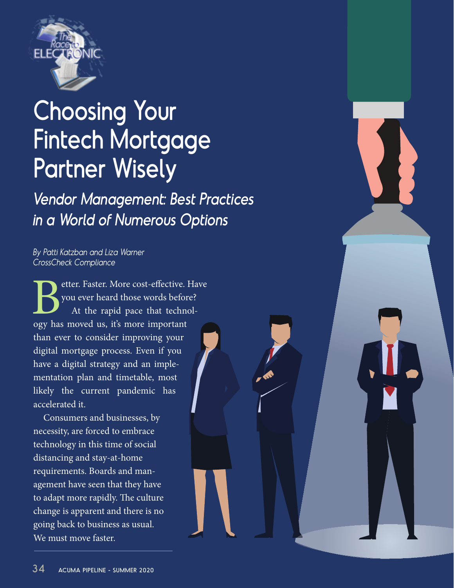

# Choosing Your Fintech Mortgage Partner Wisely

Vendor Management: Best Practices in a World of Numerous Options

# By Patti Katzban and Liza Warner CrossCheck Compliance

Better. Faster. More cost-effective. Have<br>
you ever heard those words before?<br>
At the rapid pace that technol-<br>
ogy has moved us, it's more important you ever heard those words before? At the rapid pace that technolthan ever to consider improving your digital mortgage process. Even if you have a digital strategy and an implementation plan and timetable, most likely the current pandemic has accelerated it.

Consumers and businesses, by necessity, are forced to embrace technology in this time of social distancing and stay-at-home requirements. Boards and management have seen that they have to adapt more rapidly. The culture change is apparent and there is no going back to business as usual. We must move faster.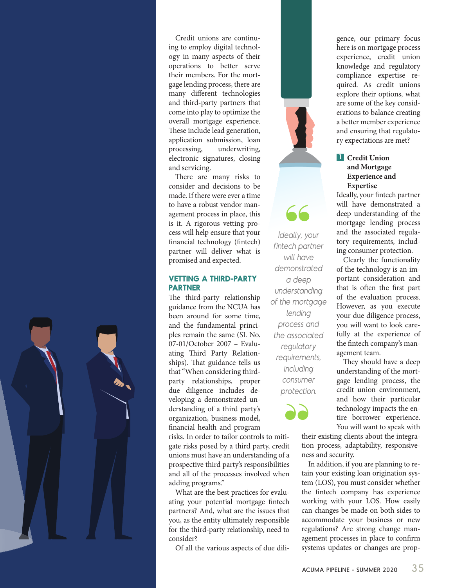Credit unions are continuing to employ digital technology in many aspects of their operations to better serve their members. For the mortgage lending process, there are many different technologies and third-party partners that come into play to optimize the overall mortgage experience. These include lead generation, application submission, loan processing, underwriting, electronic signatures, closing and servicing.

There are many risks to consider and decisions to be made. If there were ever a time to have a robust vendor management process in place, this is it. A rigorous vetting process will help ensure that your financial technology (fintech) partner will deliver what is promised and expected.

### **VETTING A THIRD-PARTY PARTNER**

The third-party relationship guidance from the NCUA has been around for some time, and the fundamental principles remain the same (SL No. 07-01/October 2007 – Evaluating Third Party Relationships). That guidance tells us that "When considering thirdparty relationships, proper due diligence includes developing a demonstrated understanding of a third party's organization, business model, financial health and program

risks. In order to tailor controls to mitigate risks posed by a third party, credit unions must have an understanding of a prospective third party's responsibilities and all of the processes involved when adding programs."

What are the best practices for evaluating your potential mortgage fintech partners? And, what are the issues that you, as the entity ultimately responsible for the third-party relationship, need to consider?

Of all the various aspects of due dili-

gence, our primary focus here is on mortgage process experience, credit union knowledge and regulatory compliance expertise required. As credit unions explore their options, what are some of the key considerations to balance creating a better member experience and ensuring that regulatory expectations are met?

## **l** Credit Union **and Mortgage Experience and Expertise**

Ideally, your

fintech partner will have demonstrated a deep understanding of the mortgage lending process and the associated regulatory requirements, including consumer protection.

99

"

Ideally, your fintech partner will have demonstrated a deep understanding of the mortgage lending process and the associated regulatory requirements, including consumer protection.

Clearly the functionality of the technology is an important consideration and that is often the first part of the evaluation process. However, as you execute your due diligence process, you will want to look carefully at the experience of the fintech company's management team.

They should have a deep understanding of the mortgage lending process, the credit union environment, and how their particular technology impacts the entire borrower experience. You will want to speak with

their existing clients about the integra tion process, adaptability, responsiveness and security.

In addition, if you are planning to retain your existing loan origination system (LOS), you must consider whether the fintech company has experience working with your LOS. How easily can changes be made on both sides to accommodate your business or new regulations? Are strong change management processes in place to confirm systems updates or changes are prop-